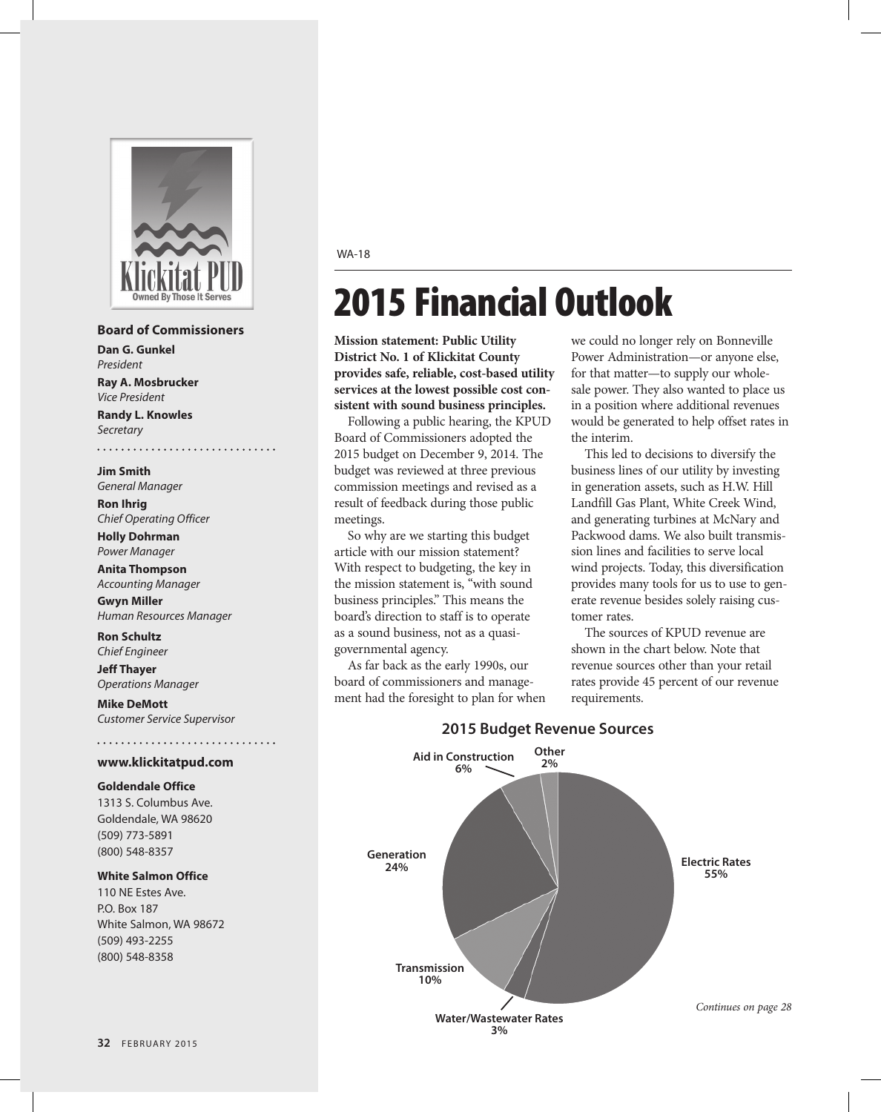

#### **Board of Commissioners**

. . . . . . . . . . . . . . . . .

**Dan G. Gunkel** *President* **Ray A. Mosbrucker**

*Vice President* **Randy L. Knowles** *Secretary*

**Jim Smith** *General Manager*

. . . . . . . . .

**Ron Ihrig** *Chief Operating Officer*

**Holly Dohrman** *Power Manager*

**Anita Thompson** *Accounting Manager*

**Gwyn Miller**  *Human Resources Manager*

**Ron Schultz** *Chief Engineer*

**Jeff Thayer** *Operations Manager*

**Mike DeMott** *Customer Service Supervisor*

#### **www.klickitatpud.com**

#### **Goldendale Office**

1313 S. Columbus Ave. Goldendale, WA 98620 (509) 773-5891 (800) 548-8357

#### **White Salmon Office**

110 NE Estes Ave. P.O. Box 187 White Salmon, WA 98672 (509) 493-2255 (800) 548-8358

WA-18

# 2015 Financial Outlook

**Mission statement: Public Utility District No. 1 of Klickitat County provides safe, reliable, cost-based utility services at the lowest possible cost consistent with sound business principles.**

Following a public hearing, the KPUD Board of Commissioners adopted the 2015 budget on December 9, 2014. The budget was reviewed at three previous commission meetings and revised as a result of feedback during those public meetings.

So why are we starting this budget article with our mission statement? With respect to budgeting, the key in the mission statement is, "with sound business principles." This means the board's direction to staff is to operate as a sound business, not as a quasigovernmental agency.

As far back as the early 1990s, our board of commissioners and management had the foresight to plan for when we could no longer rely on Bonneville Power Administration—or anyone else, for that matter—to supply our wholesale power. They also wanted to place us in a position where additional revenues would be generated to help offset rates in the interim.

This led to decisions to diversify the business lines of our utility by investing in generation assets, such as H.W. Hill Landfill Gas Plant, White Creek Wind, and generating turbines at McNary and Packwood dams. We also built transmission lines and facilities to serve local wind projects. Today, this diversification provides many tools for us to use to generate revenue besides solely raising customer rates.

The sources of KPUD revenue are shown in the chart below. Note that revenue sources other than your retail rates provide 45 percent of our revenue requirements.



# **2015 Budget Revenue Sources**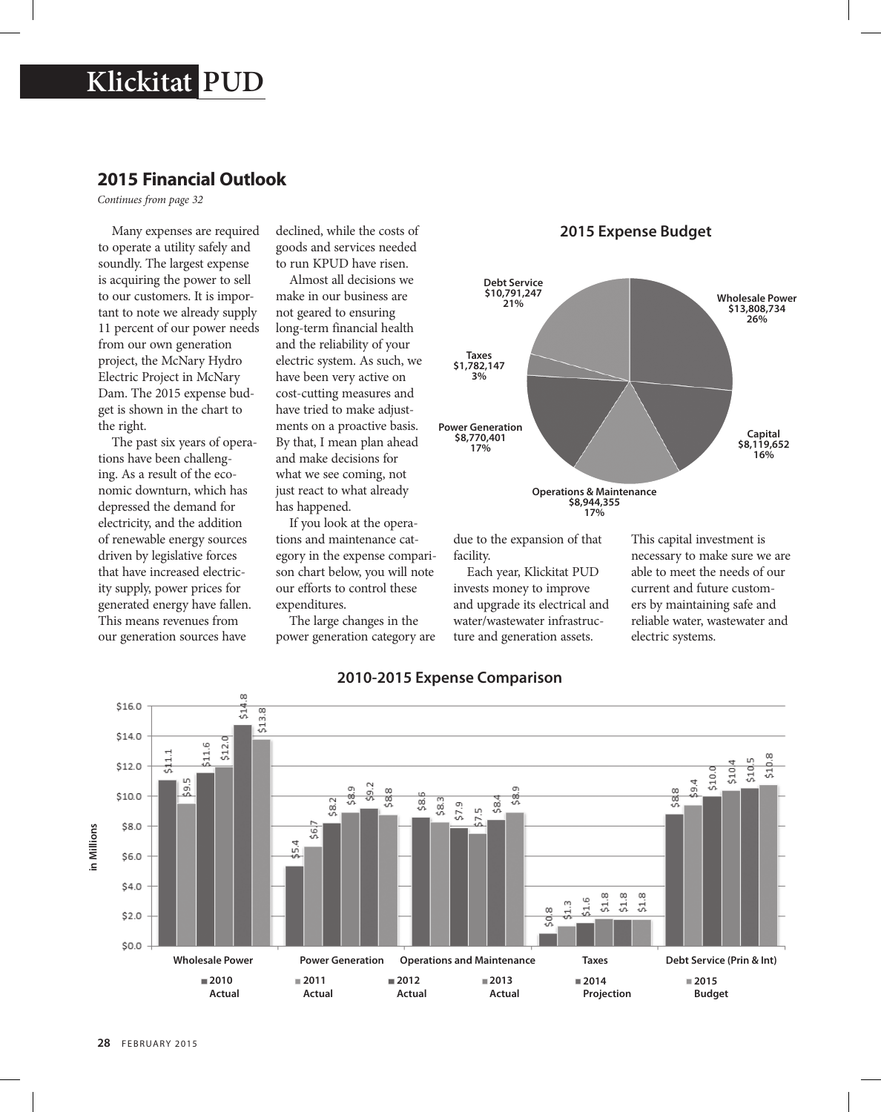# **Klickitat PUD**

# **2015 Financial Outlook**

*Continues from page 32*

Many expenses are required to operate a utility safely and soundly. The largest expense is acquiring the power to sell to our customers. It is important to note we already supply 11 percent of our power needs from our own generation project, the McNary Hydro Electric Project in McNary Dam. The 2015 expense budget is shown in the chart to the right.

The past six years of operations have been challenging. As a result of the economic downturn, which has depressed the demand for electricity, and the addition of renewable energy sources driven by legislative forces that have increased electricity supply, power prices for generated energy have fallen. This means revenues from our generation sources have

declined, while the costs of goods and services needed to run KPUD have risen.

Almost all decisions we make in our business are not geared to ensuring long-term financial health and the reliability of your electric system. As such, we have been very active on cost-cutting measures and have tried to make adjustments on a proactive basis. By that, I mean plan ahead and make decisions for what we see coming, not just react to what already has happened.

If you look at the operations and maintenance category in the expense comparison chart below, you will note our efforts to control these expenditures.

The large changes in the power generation category are





due to the expansion of that facility.

Each year, Klickitat PUD invests money to improve and upgrade its electrical and water/wastewater infrastructure and generation assets.

This capital investment is necessary to make sure we are able to meet the needs of our current and future customers by maintaining safe and reliable water, wastewater and electric systems.



## **2010-2015 Expense Comparison**